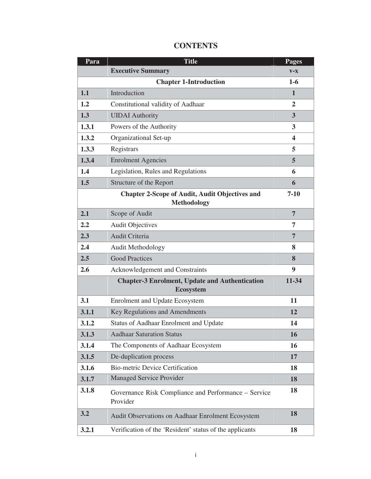| Para  | <b>Title</b>                                                                | <b>Pages</b>   |
|-------|-----------------------------------------------------------------------------|----------------|
|       | <b>Executive Summary</b>                                                    | $V-X$          |
|       | <b>Chapter 1-Introduction</b>                                               | $1-6$          |
| 1.1   | Introduction                                                                | 1              |
| 1.2   | Constitutional validity of Aadhaar                                          | $\overline{2}$ |
| 1.3   | <b>UIDAI</b> Authority                                                      | 3              |
| 1.3.1 | Powers of the Authority                                                     | 3              |
| 1.3.2 | Organizational Set-up                                                       | 4              |
| 1.3.3 | Registrars                                                                  | 5              |
| 1.3.4 | <b>Enrolment Agencies</b>                                                   | 5              |
| 1.4   | Legislation, Rules and Regulations                                          | 6              |
| 1.5   | Structure of the Report                                                     | 6              |
|       | <b>Chapter 2-Scope of Audit, Audit Objectives and</b><br><b>Methodology</b> | $7 - 10$       |
| 2.1   | Scope of Audit                                                              | $\overline{7}$ |
| 2.2   | <b>Audit Objectives</b>                                                     | 7              |
| 2.3   | <b>Audit Criteria</b>                                                       | $\overline{7}$ |
| 2.4   | <b>Audit Methodology</b>                                                    | 8              |
| 2.5   | <b>Good Practices</b>                                                       | 8              |
| 2.6   | Acknowledgement and Constraints                                             | 9              |
|       | <b>Chapter-3 Enrolment, Update and Authentication</b><br><b>Ecosystem</b>   | 11-34          |
| 3.1   | <b>Enrolment and Update Ecosystem</b>                                       | 11             |
| 3.1.1 | Key Regulations and Amendments                                              | 12             |
| 3.1.2 | <b>Status of Aadhaar Enrolment and Update</b>                               | 14             |
| 3.1.3 | <b>Aadhaar Saturation Status</b>                                            | 16             |
| 3.1.4 | The Components of Aadhaar Ecosystem                                         | 16             |
| 3.1.5 | De-duplication process                                                      | 17             |
| 3.1.6 | <b>Bio-metric Device Certification</b>                                      | 18             |
| 3.1.7 | <b>Managed Service Provider</b>                                             | 18             |
| 3.1.8 | Governance Risk Compliance and Performance - Service<br>Provider            | 18             |
| 3.2   | Audit Observations on Aadhaar Enrolment Ecosystem                           | 18             |
| 3.2.1 | Verification of the 'Resident' status of the applicants                     | 18             |

## **CONTENTS**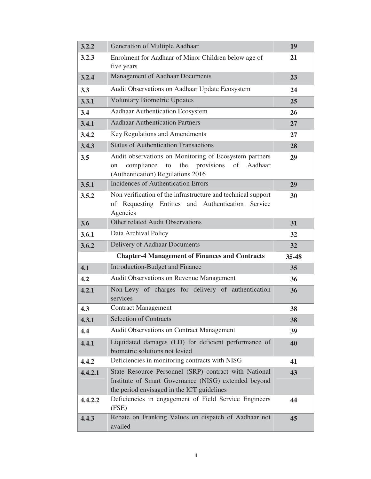| 3.2.2   | Generation of Multiple Aadhaar                                                                                                                              | 19    |
|---------|-------------------------------------------------------------------------------------------------------------------------------------------------------------|-------|
| 3.2.3   | Enrolment for Aadhaar of Minor Children below age of<br>five years                                                                                          | 21    |
| 3.2.4   | <b>Management of Aadhaar Documents</b>                                                                                                                      | 23    |
| 3.3     | Audit Observations on Aadhaar Update Ecosystem                                                                                                              | 24    |
| 3.3.1   | <b>Voluntary Biometric Updates</b>                                                                                                                          | 25    |
| 3.4     | Aadhaar Authentication Ecosystem                                                                                                                            | 26    |
| 3.4.1   | <b>Aadhaar Authentication Partners</b>                                                                                                                      | 27    |
| 3.4.2   | Key Regulations and Amendments                                                                                                                              | 27    |
| 3.4.3   | <b>Status of Authentication Transactions</b>                                                                                                                | 28    |
| 3.5     | Audit observations on Monitoring of Ecosystem partners<br>provisions<br>compliance<br>the<br>of<br>Aadhaar<br>to<br>on<br>(Authentication) Regulations 2016 | 29    |
| 3.5.1   | <b>Incidences of Authentication Errors</b>                                                                                                                  | 29    |
| 3.5.2   | Non verification of the infrastructure and technical support<br>of Requesting Entities and Authentication Service<br>Agencies                               | 30    |
| 3.6     | Other related Audit Observations                                                                                                                            | 31    |
| 3.6.1   | Data Archival Policy                                                                                                                                        | 32    |
| 3.6.2   | Delivery of Aadhaar Documents                                                                                                                               | 32    |
|         | <b>Chapter-4 Management of Finances and Contracts</b>                                                                                                       | 35-48 |
| 4.1     | Introduction-Budget and Finance                                                                                                                             | 35    |
| 4.2     | <b>Audit Observations on Revenue Management</b>                                                                                                             | 36    |
| 4.2.1   | Non-Levy of charges for delivery of authentication<br>services                                                                                              | 36    |
| 4.3     | <b>Contract Management</b>                                                                                                                                  | 38    |
| 4.3.1   | <b>Selection of Contracts</b>                                                                                                                               | 38    |
| 4.4     | Audit Observations on Contract Management                                                                                                                   | 39    |
| 4.4.1   | Liquidated damages (LD) for deficient performance of<br>biometric solutions not levied                                                                      | 40    |
| 4.4.2   | Deficiencies in monitoring contracts with NISG                                                                                                              | 41    |
| 4.4.2.1 | State Resource Personnel (SRP) contract with National<br>Institute of Smart Governance (NISG) extended beyond<br>the period envisaged in the ICT guidelines | 43    |
| 4.4.2.2 | Deficiencies in engagement of Field Service Engineers<br>(FSE)                                                                                              | 44    |
| 4.4.3   | Rebate on Franking Values on dispatch of Aadhaar not<br>availed                                                                                             | 45    |